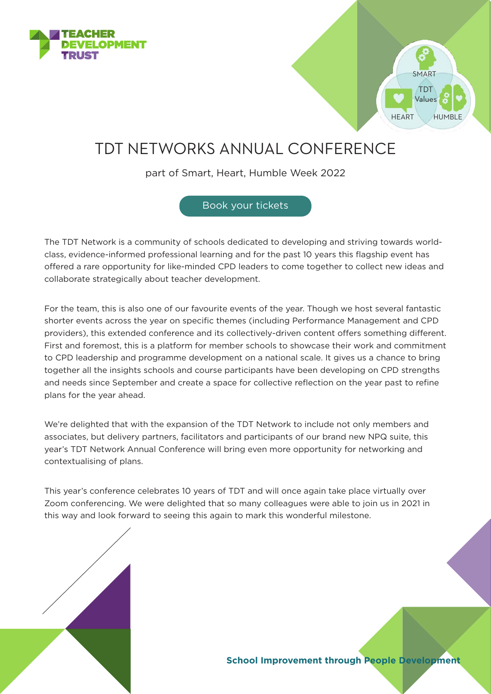



## TDT NETWORKS ANNUAL CONFERENCE

part of Smart, Heart, Humble Week 2022

[Book your tickets](https://tdtrust.org/product/tdt-network-annual-conference-2022/)

The TDT Network is a community of schools dedicated to developing and striving towards worldclass, evidence-informed professional learning and for the past 10 years this flagship event has offered a rare opportunity for like-minded CPD leaders to come together to collect new ideas and collaborate strategically about teacher development.

For the team, this is also one of our favourite events of the year. Though we host several fantastic shorter events across the year on specific themes (including Performance Management and CPD providers), this extended conference and its collectively-driven content offers something different. First and foremost, this is a platform for member schools to showcase their work and commitment to CPD leadership and programme development on a national scale. It gives us a chance to bring together all the insights schools and course participants have been developing on CPD strengths and needs since September and create a space for collective reflection on the year past to refine plans for the year ahead.

We're delighted that with the expansion of the TDT Network to include not only members and associates, but delivery partners, facilitators and participants of our brand new NPQ suite, this year's TDT Network Annual Conference will bring even more opportunity for networking and contextualising of plans.

This year's conference celebrates 10 years of TDT and will once again take place virtually over Zoom conferencing. We were delighted that so many colleagues were able to join us in 2021 in this way and look forward to seeing this again to mark this wonderful milestone.

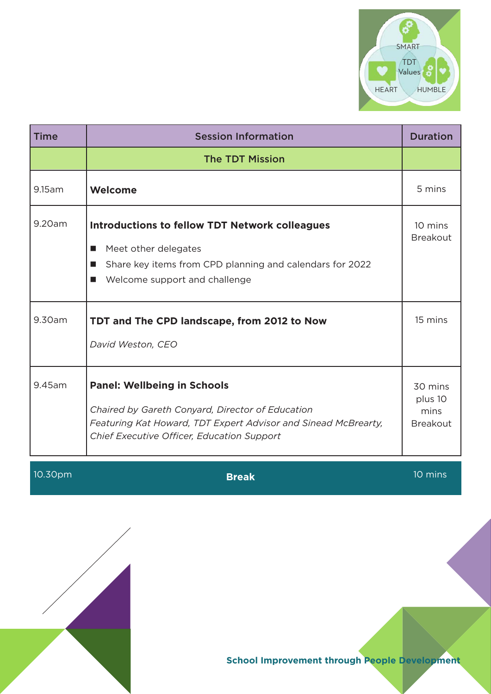

| <b>Time</b> | <b>Session Information</b>                                                                                                                                                                             | <b>Duration</b>                               |
|-------------|--------------------------------------------------------------------------------------------------------------------------------------------------------------------------------------------------------|-----------------------------------------------|
|             | <b>The TDT Mission</b>                                                                                                                                                                                 |                                               |
| 9.15am      | Welcome                                                                                                                                                                                                | 5 mins                                        |
| 9.20am      | <b>Introductions to fellow TDT Network colleagues</b><br>Meet other delegates<br>ш<br>Share key items from CPD planning and calendars for 2022<br>■<br>Welcome support and challenge<br>■              | 10 mins<br><b>Breakout</b>                    |
| 9.30am      | TDT and The CPD landscape, from 2012 to Now<br>David Weston, CEO                                                                                                                                       | 15 mins                                       |
| 9.45am      | <b>Panel: Wellbeing in Schools</b><br>Chaired by Gareth Conyard, Director of Education<br>Featuring Kat Howard, TDT Expert Advisor and Sinead McBrearty,<br>Chief Executive Officer, Education Support | 30 mins<br>plus 10<br>mins<br><b>Breakout</b> |



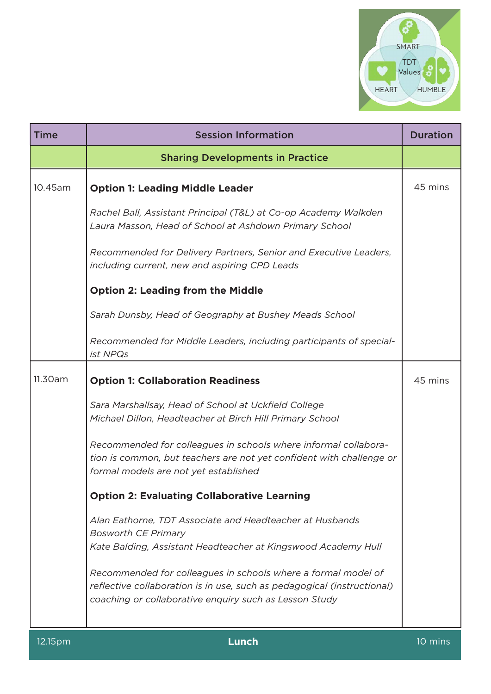

| <b>Time</b> | <b>Session Information</b>                                                                                                                                                                         | <b>Duration</b> |
|-------------|----------------------------------------------------------------------------------------------------------------------------------------------------------------------------------------------------|-----------------|
|             | <b>Sharing Developments in Practice</b>                                                                                                                                                            |                 |
| 10.45am     | <b>Option 1: Leading Middle Leader</b>                                                                                                                                                             | 45 mins         |
|             | Rachel Ball, Assistant Principal (T&L) at Co-op Academy Walkden<br>Laura Masson, Head of School at Ashdown Primary School                                                                          |                 |
|             | Recommended for Delivery Partners, Senior and Executive Leaders,<br>including current, new and aspiring CPD Leads                                                                                  |                 |
|             | <b>Option 2: Leading from the Middle</b>                                                                                                                                                           |                 |
|             | Sarah Dunsby, Head of Geography at Bushey Meads School                                                                                                                                             |                 |
|             | Recommended for Middle Leaders, including participants of special-<br>ist NPQs                                                                                                                     |                 |
| 11.30am     | <b>Option 1: Collaboration Readiness</b>                                                                                                                                                           | 45 mins         |
|             | Sara Marshallsay, Head of School at Uckfield College<br>Michael Dillon, Headteacher at Birch Hill Primary School                                                                                   |                 |
|             | Recommended for colleagues in schools where informal collabora-<br>tion is common, but teachers are not yet confident with challenge or<br>formal models are not yet established                   |                 |
|             | <b>Option 2: Evaluating Collaborative Learning</b>                                                                                                                                                 |                 |
|             | Alan Eathorne, TDT Associate and Headteacher at Husbands<br><b>Bosworth CE Primary</b><br>Kate Balding, Assistant Headteacher at Kingswood Academy Hull                                            |                 |
|             | Recommended for colleagues in schools where a formal model of<br>reflective collaboration is in use, such as pedagogical (instructional)<br>coaching or collaborative enquiry such as Lesson Study |                 |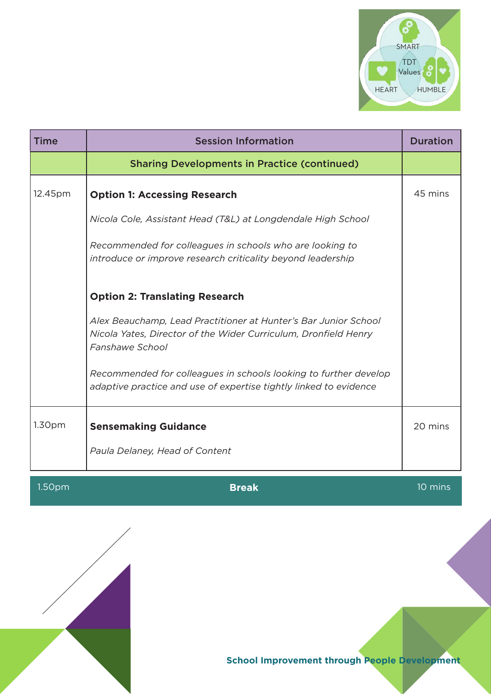

| <b>Time</b>        | <b>Session Information</b>                                                                                                                            | <b>Duration</b>      |
|--------------------|-------------------------------------------------------------------------------------------------------------------------------------------------------|----------------------|
|                    | <b>Sharing Developments in Practice (continued)</b>                                                                                                   |                      |
| 12.45pm            | <b>Option 1: Accessing Research</b>                                                                                                                   | 45 mins              |
|                    | Nicola Cole, Assistant Head (T&L) at Longdendale High School                                                                                          |                      |
|                    | Recommended for colleagues in schools who are looking to<br>introduce or improve research criticality beyond leadership                               |                      |
|                    | <b>Option 2: Translating Research</b>                                                                                                                 |                      |
|                    | Alex Beauchamp, Lead Practitioner at Hunter's Bar Junior School<br>Nicola Yates, Director of the Wider Curriculum, Dronfield Henry<br>Fanshawe School |                      |
|                    | Recommended for colleagues in schools looking to further develop<br>adaptive practice and use of expertise tightly linked to evidence                 |                      |
| 1.30 <sub>pm</sub> | <b>Sensemaking Guidance</b>                                                                                                                           | 20 mins              |
|                    | Paula Delaney, Head of Content                                                                                                                        |                      |
| 1.50 <sub>pm</sub> | <b>Break</b>                                                                                                                                          | $\overline{10}$ mins |